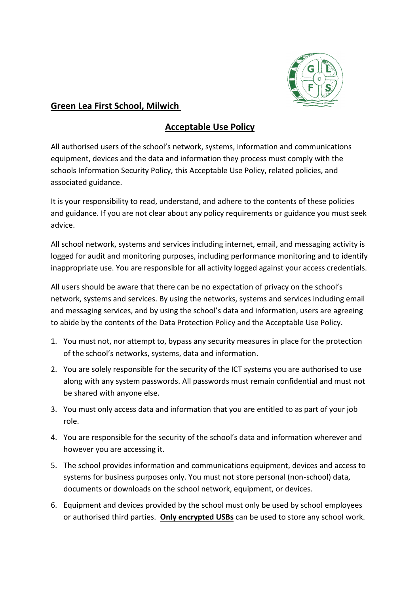

## **Green Lea First School, Milwich**

## **Acceptable Use Policy**

All authorised users of the school's network, systems, information and communications equipment, devices and the data and information they process must comply with the schools Information Security Policy, this Acceptable Use Policy, related policies, and associated guidance.

It is your responsibility to read, understand, and adhere to the contents of these policies and guidance. If you are not clear about any policy requirements or guidance you must seek advice.

All school network, systems and services including internet, email, and messaging activity is logged for audit and monitoring purposes, including performance monitoring and to identify inappropriate use. You are responsible for all activity logged against your access credentials.

All users should be aware that there can be no expectation of privacy on the school's network, systems and services. By using the networks, systems and services including email and messaging services, and by using the school's data and information, users are agreeing to abide by the contents of the Data Protection Policy and the Acceptable Use Policy.

- 1. You must not, nor attempt to, bypass any security measures in place for the protection of the school's networks, systems, data and information.
- 2. You are solely responsible for the security of the ICT systems you are authorised to use along with any system passwords. All passwords must remain confidential and must not be shared with anyone else.
- 3. You must only access data and information that you are entitled to as part of your job role.
- 4. You are responsible for the security of the school's data and information wherever and however you are accessing it.
- 5. The school provides information and communications equipment, devices and access to systems for business purposes only. You must not store personal (non-school) data, documents or downloads on the school network, equipment, or devices.
- 6. Equipment and devices provided by the school must only be used by school employees or authorised third parties. **Only encrypted USBs** can be used to store any school work.